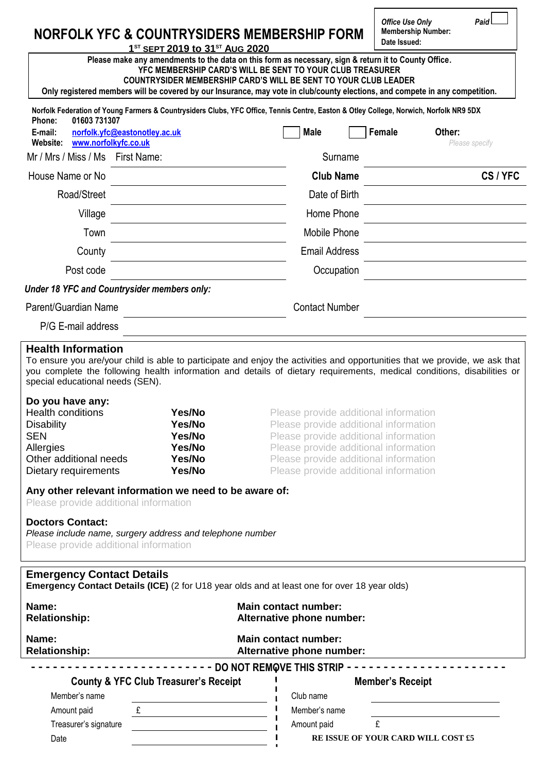# **NORFOLK YFC & COUNTRYSIDERS MEMBERSHIP FORM**

*Office Use Only Paid*  **Membership Number: Date Issued:**

**1 ST SEPT 2019 to 31ST AUG 2020 Please make any amendments to the data on this form as necessary, sign & return it to County Office. YFC MEMBERSHIP CARD'S WILL BE SENT TO YOUR CLUB TREASURER**

**COUNTRYSIDER MEMBERSHIP CARD'S WILL BE SENT TO YOUR CLUB LEADER**

**Only registered members will be covered by our Insurance, may vote in club/county elections, and compete in any competition.**

| 01603 731307<br>Phone:                                                                                                     | Norfolk Federation of Young Farmers & Countrysiders Clubs, YFC Office, Tennis Centre, Easton & Otley College, Norwich, Norfolk NR9 5DX                                                                                                                |                                                                                                                                                                                                                                                    |        |                |
|----------------------------------------------------------------------------------------------------------------------------|-------------------------------------------------------------------------------------------------------------------------------------------------------------------------------------------------------------------------------------------------------|----------------------------------------------------------------------------------------------------------------------------------------------------------------------------------------------------------------------------------------------------|--------|----------------|
| E-mail:                                                                                                                    | norfolk.yfc@eastonotley.ac.uk                                                                                                                                                                                                                         | <b>Male</b>                                                                                                                                                                                                                                        | Female | Other:         |
| www.norfolkyfc.co.uk<br>Website:                                                                                           |                                                                                                                                                                                                                                                       |                                                                                                                                                                                                                                                    |        | Please specify |
| Mr / Mrs / Miss / Ms                                                                                                       | First Name:                                                                                                                                                                                                                                           | Surname                                                                                                                                                                                                                                            |        |                |
| House Name or No                                                                                                           |                                                                                                                                                                                                                                                       | <b>Club Name</b>                                                                                                                                                                                                                                   |        | CS/YFC         |
| Road/Street                                                                                                                |                                                                                                                                                                                                                                                       | Date of Birth                                                                                                                                                                                                                                      |        |                |
| Village                                                                                                                    |                                                                                                                                                                                                                                                       | Home Phone                                                                                                                                                                                                                                         |        |                |
| Town                                                                                                                       |                                                                                                                                                                                                                                                       | <b>Mobile Phone</b>                                                                                                                                                                                                                                |        |                |
| County                                                                                                                     |                                                                                                                                                                                                                                                       | <b>Email Address</b>                                                                                                                                                                                                                               |        |                |
| Post code                                                                                                                  |                                                                                                                                                                                                                                                       | Occupation                                                                                                                                                                                                                                         |        |                |
|                                                                                                                            | <b>Under 18 YFC and Countrysider members only:</b>                                                                                                                                                                                                    |                                                                                                                                                                                                                                                    |        |                |
| Parent/Guardian Name                                                                                                       |                                                                                                                                                                                                                                                       | <b>Contact Number</b>                                                                                                                                                                                                                              |        |                |
| P/G E-mail address                                                                                                         |                                                                                                                                                                                                                                                       |                                                                                                                                                                                                                                                    |        |                |
| <b>Health Information</b><br>special educational needs (SEN).                                                              | To ensure you are/your child is able to participate and enjoy the activities and opportunities that we provide, we ask that<br>you complete the following health information and details of dietary requirements, medical conditions, disabilities or |                                                                                                                                                                                                                                                    |        |                |
| Do you have any:                                                                                                           |                                                                                                                                                                                                                                                       |                                                                                                                                                                                                                                                    |        |                |
| <b>Health conditions</b><br><b>Disability</b><br><b>SEN</b><br>Allergies<br>Other additional needs<br>Dietary requirements | Yes/No<br>Yes/No<br>Yes/No<br>Yes/No<br>Yes/No<br>Yes/No                                                                                                                                                                                              | Please provide additional information<br>Please provide additional information<br>Please provide additional information<br>Please provide additional information<br>Please provide additional information<br>Please provide additional information |        |                |
| Please provide additional information<br><b>Doctors Contact:</b>                                                           | Any other relevant information we need to be aware of:                                                                                                                                                                                                |                                                                                                                                                                                                                                                    |        |                |
|                                                                                                                            | Please include name, surgery address and telephone number                                                                                                                                                                                             |                                                                                                                                                                                                                                                    |        |                |

Please provide additional information

## **Emergency Contact Details**

**Emergency Contact Details (ICE)** (2 for U18 year olds and at least one for over 18 year olds)

| Name:<br><b>Relationship:</b>                    | <b>Main contact number:</b><br>Alternative phone number: |
|--------------------------------------------------|----------------------------------------------------------|
| Name:<br><b>Relationship:</b>                    | <b>Main contact number:</b><br>Alternative phone number: |
|                                                  | <b>DO NOT REMOVE THIS STRIP</b>                          |
| <b>County &amp; YFC Club Treasurer's Receipt</b> | <b>Member's Receipt</b>                                  |
| Member's name                                    | Club name                                                |
| Amount paid                                      | Member's name                                            |
| Treasurer's signature                            | Amount paid                                              |
| Date                                             | RE ISSUE OF YOUR CARD WILL COST £5                       |